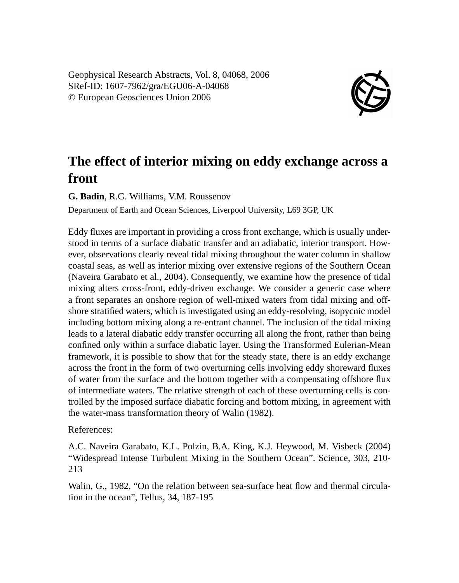Geophysical Research Abstracts, Vol. 8, 04068, 2006 SRef-ID: 1607-7962/gra/EGU06-A-04068 © European Geosciences Union 2006



## **The effect of interior mixing on eddy exchange across a front**

**G. Badin**, R.G. Williams, V.M. Roussenov

Department of Earth and Ocean Sciences, Liverpool University, L69 3GP, UK

Eddy fluxes are important in providing a cross front exchange, which is usually understood in terms of a surface diabatic transfer and an adiabatic, interior transport. However, observations clearly reveal tidal mixing throughout the water column in shallow coastal seas, as well as interior mixing over extensive regions of the Southern Ocean (Naveira Garabato et al., 2004). Consequently, we examine how the presence of tidal mixing alters cross-front, eddy-driven exchange. We consider a generic case where a front separates an onshore region of well-mixed waters from tidal mixing and offshore stratified waters, which is investigated using an eddy-resolving, isopycnic model including bottom mixing along a re-entrant channel. The inclusion of the tidal mixing leads to a lateral diabatic eddy transfer occurring all along the front, rather than being confined only within a surface diabatic layer. Using the Transformed Eulerian-Mean framework, it is possible to show that for the steady state, there is an eddy exchange across the front in the form of two overturning cells involving eddy shoreward fluxes of water from the surface and the bottom together with a compensating offshore flux of intermediate waters. The relative strength of each of these overturning cells is controlled by the imposed surface diabatic forcing and bottom mixing, in agreement with the water-mass transformation theory of Walin (1982).

References:

A.C. Naveira Garabato, K.L. Polzin, B.A. King, K.J. Heywood, M. Visbeck (2004) "Widespread Intense Turbulent Mixing in the Southern Ocean". Science, 303, 210- 213

Walin, G., 1982, "On the relation between sea-surface heat flow and thermal circulation in the ocean", Tellus, 34, 187-195